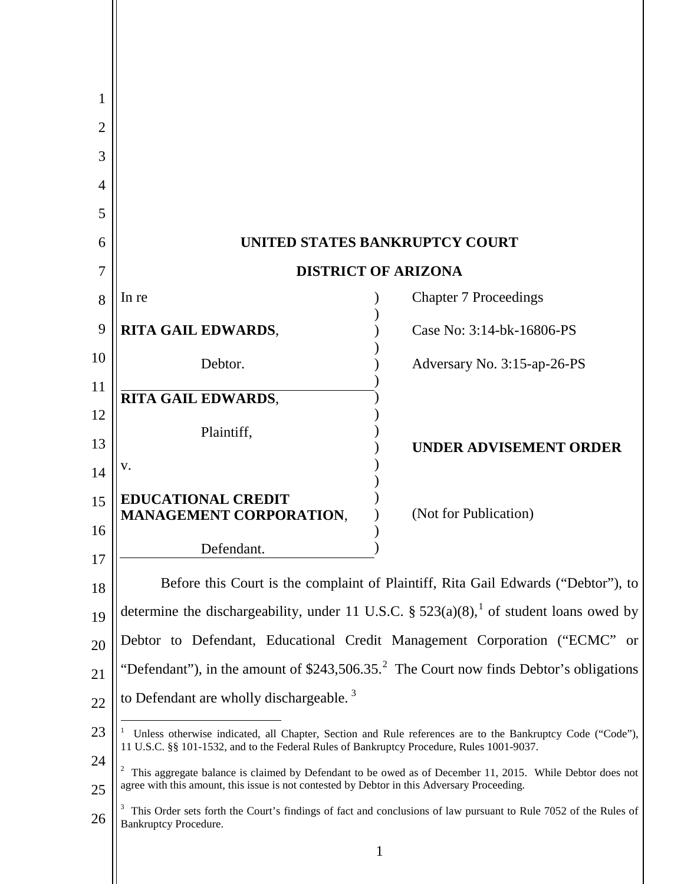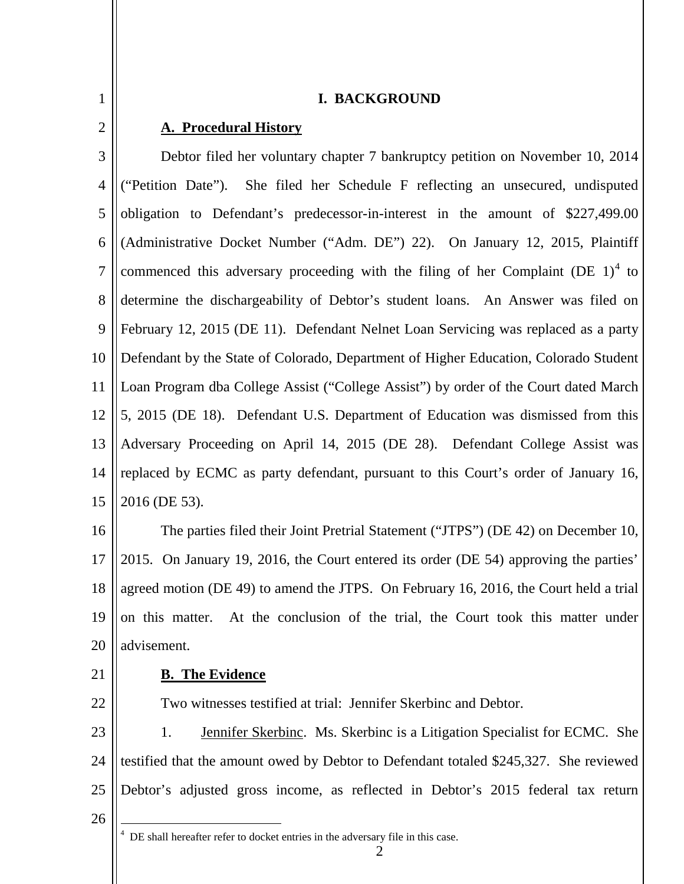# **I. BACKGROUND**

## 2

1

## **A. Procedural History**

3 4 5 6 7 8 9 10 11 12 13 14 15 Debtor filed her voluntary chapter 7 bankruptcy petition on November 10, 2014 ("Petition Date"). She filed her Schedule F reflecting an unsecured, undisputed obligation to Defendant's predecessor-in-interest in the amount of \$227,499.00 (Administrative Docket Number ("Adm. DE") 22). On January 12, 2015, Plaintiff commenced this adversary proceeding with the filing of her Complaint (DE  $1$ )<sup>4</sup> to determine the dischargeability of Debtor's student loans. An Answer was filed on February 12, 2015 (DE 11). Defendant Nelnet Loan Servicing was replaced as a party Defendant by the State of Colorado, Department of Higher Education, Colorado Student Loan Program dba College Assist ("College Assist") by order of the Court dated March 5, 2015 (DE 18). Defendant U.S. Department of Education was dismissed from this Adversary Proceeding on April 14, 2015 (DE 28). Defendant College Assist was replaced by ECMC as party defendant, pursuant to this Court's order of January 16, 2016 (DE 53).

16 17 18 19 20 The parties filed their Joint Pretrial Statement ("JTPS") (DE 42) on December 10, 2015. On January 19, 2016, the Court entered its order (DE 54) approving the parties' agreed motion (DE 49) to amend the JTPS. On February 16, 2016, the Court held a trial on this matter. At the conclusion of the trial, the Court took this matter under advisement.

21

22

### **B. The Evidence**

Two witnesses testified at trial: Jennifer Skerbinc and Debtor.

23 24 25 1. Jennifer Skerbinc. Ms. Skerbinc is a Litigation Specialist for ECMC. She testified that the amount owed by Debtor to Defendant totaled \$245,327. She reviewed Debtor's adjusted gross income, as reflected in Debtor's 2015 federal tax return

26

<sup>&</sup>lt;sup>4</sup> DE shall hereafter refer to docket entries in the adversary file in this case.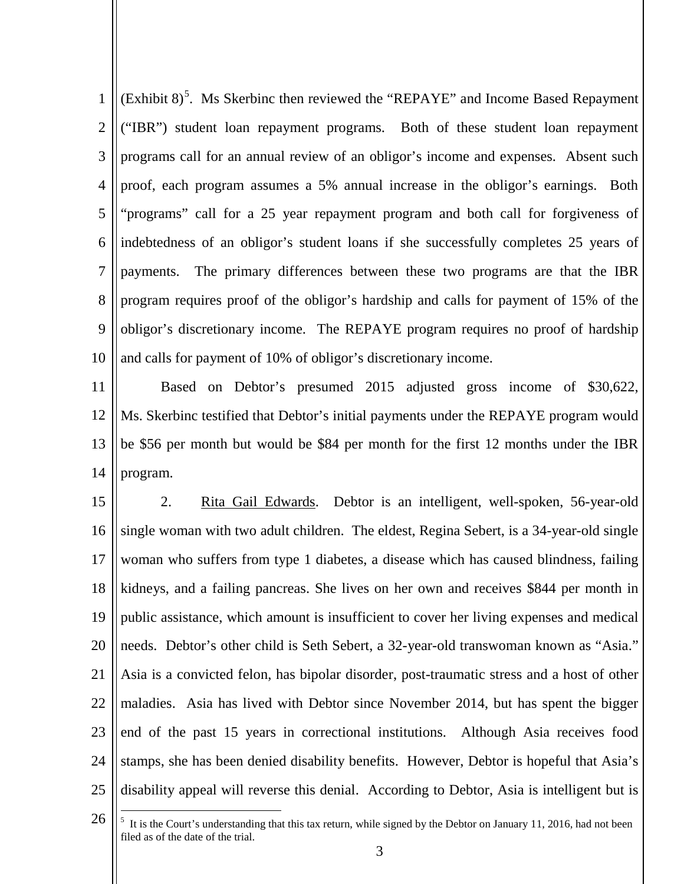1 2 3 4 5 6 7 8 9 10 (Exhibit  $8$ )<sup>5</sup>. Ms Skerbinc then reviewed the "REPAYE" and Income Based Repayment ("IBR") student loan repayment programs. Both of these student loan repayment programs call for an annual review of an obligor's income and expenses. Absent such proof, each program assumes a 5% annual increase in the obligor's earnings. Both "programs" call for a 25 year repayment program and both call for forgiveness of indebtedness of an obligor's student loans if she successfully completes 25 years of payments. The primary differences between these two programs are that the IBR program requires proof of the obligor's hardship and calls for payment of 15% of the obligor's discretionary income. The REPAYE program requires no proof of hardship and calls for payment of 10% of obligor's discretionary income.

11 12 13 14 Based on Debtor's presumed 2015 adjusted gross income of \$30,622, Ms. Skerbinc testified that Debtor's initial payments under the REPAYE program would be \$56 per month but would be \$84 per month for the first 12 months under the IBR program.

15 16 17 18 19 20 21 22 23 24 25 2. Rita Gail Edwards. Debtor is an intelligent, well-spoken, 56-year-old single woman with two adult children. The eldest, Regina Sebert, is a 34-year-old single woman who suffers from type 1 diabetes, a disease which has caused blindness, failing kidneys, and a failing pancreas. She lives on her own and receives \$844 per month in public assistance, which amount is insufficient to cover her living expenses and medical needs. Debtor's other child is Seth Sebert, a 32-year-old transwoman known as "Asia." Asia is a convicted felon, has bipolar disorder, post-traumatic stress and a host of other maladies. Asia has lived with Debtor since November 2014, but has spent the bigger end of the past 15 years in correctional institutions. Although Asia receives food stamps, she has been denied disability benefits. However, Debtor is hopeful that Asia's disability appeal will reverse this denial. According to Debtor, Asia is intelligent but is

<sup>26</sup>  $\overline{a}$  $<sup>5</sup>$  It is the Court's understanding that this tax return, while signed by the Debtor on January 11, 2016, had not been</sup> filed as of the date of the trial.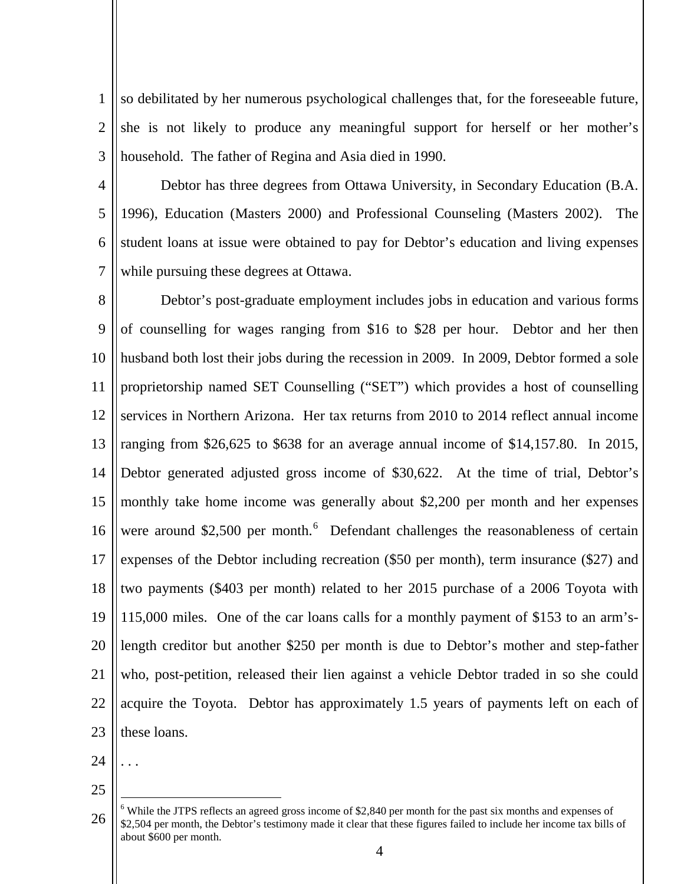1 2 3 so debilitated by her numerous psychological challenges that, for the foreseeable future, she is not likely to produce any meaningful support for herself or her mother's household. The father of Regina and Asia died in 1990.

4 5

6

7

Debtor has three degrees from Ottawa University, in Secondary Education (B.A. 1996), Education (Masters 2000) and Professional Counseling (Masters 2002). The student loans at issue were obtained to pay for Debtor's education and living expenses while pursuing these degrees at Ottawa.

8 9 10 11 12 13 14 15 16 17 18 19 20 21 22 23 Debtor's post-graduate employment includes jobs in education and various forms of counselling for wages ranging from \$16 to \$28 per hour. Debtor and her then husband both lost their jobs during the recession in 2009. In 2009, Debtor formed a sole proprietorship named SET Counselling ("SET") which provides a host of counselling services in Northern Arizona. Her tax returns from 2010 to 2014 reflect annual income ranging from \$26,625 to \$638 for an average annual income of \$14,157.80. In 2015, Debtor generated adjusted gross income of \$30,622. At the time of trial, Debtor's monthly take home income was generally about \$2,200 per month and her expenses were around \$2,500 per month. $\frac{6}{10}$  Defendant challenges the reasonableness of certain expenses of the Debtor including recreation (\$50 per month), term insurance (\$27) and two payments (\$403 per month) related to her 2015 purchase of a 2006 Toyota with 115,000 miles. One of the car loans calls for a monthly payment of \$153 to an arm'slength creditor but another \$250 per month is due to Debtor's mother and step-father who, post-petition, released their lien against a vehicle Debtor traded in so she could acquire the Toyota. Debtor has approximately 1.5 years of payments left on each of these loans.

24

. . .

 $\overline{a}$ 

<sup>26</sup>  $6$  While the JTPS reflects an agreed gross income of \$2,840 per month for the past six months and expenses of \$2,504 per month, the Debtor's testimony made it clear that these figures failed to include her income tax bills of about \$600 per month.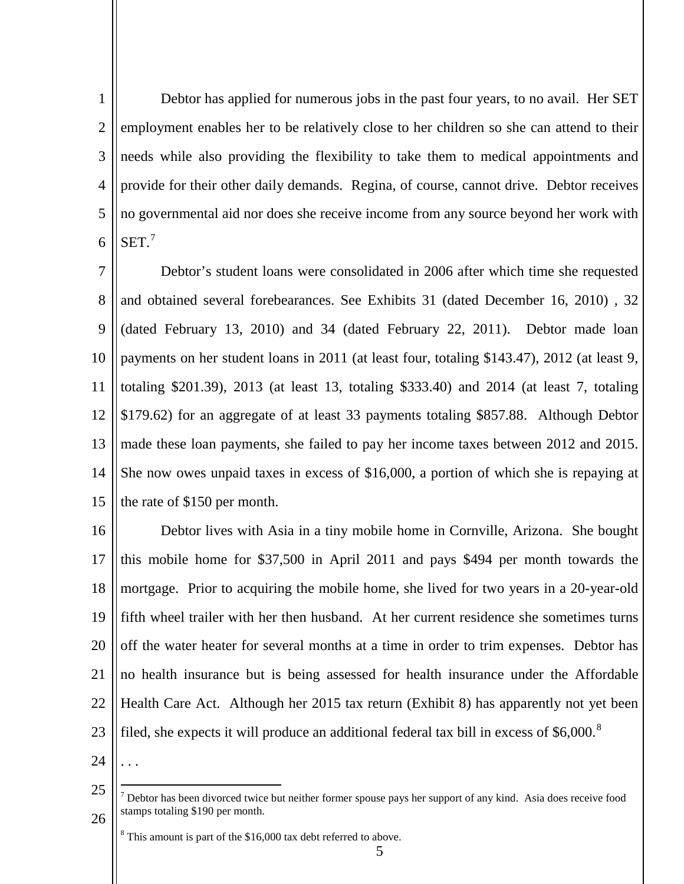1 2 3 4 5 6 Debtor has applied for numerous jobs in the past four years, to no avail. Her SET employment enables her to be relatively close to her children so she can attend to their needs while also providing the flexibility to take them to medical appointments and provide for their other daily demands. Regina, of course, cannot drive. Debtor receives no governmental aid nor does she receive income from any source beyond her work with  $SET.<sup>7</sup>$ 

7 8 9 10 11 12 13 14 15 Debtor's student loans were consolidated in 2006 after which time she requested and obtained several forebearances. See Exhibits 31 (dated December 16, 2010) , 32 (dated February 13, 2010) and 34 (dated February 22, 2011). Debtor made loan payments on her student loans in 2011 (at least four, totaling \$143.47), 2012 (at least 9, totaling \$201.39), 2013 (at least 13, totaling \$333.40) and 2014 (at least 7, totaling \$179.62) for an aggregate of at least 33 payments totaling \$857.88. Although Debtor made these loan payments, she failed to pay her income taxes between 2012 and 2015. She now owes unpaid taxes in excess of \$16,000, a portion of which she is repaying at the rate of \$150 per month.

16 17 18 19 20 21 22 23 Debtor lives with Asia in a tiny mobile home in Cornville, Arizona. She bought this mobile home for \$37,500 in April 2011 and pays \$494 per month towards the mortgage. Prior to acquiring the mobile home, she lived for two years in a 20-year-old fifth wheel trailer with her then husband. At her current residence she sometimes turns off the water heater for several months at a time in order to trim expenses. Debtor has no health insurance but is being assessed for health insurance under the Affordable Health Care Act. Although her 2015 tax return (Exhibit 8) has apparently not yet been filed, she expects it will produce an additional federal tax bill in excess of  $$6,000$ .<sup>8</sup>

24 . . .

25

 $\overline{a}$  $<sup>7</sup>$  Debtor has been divorced twice but neither former spouse pays her support of any kind. Asia does receive food</sup> stamps totaling \$190 per month.

 $8$  This amount is part of the \$16,000 tax debt referred to above.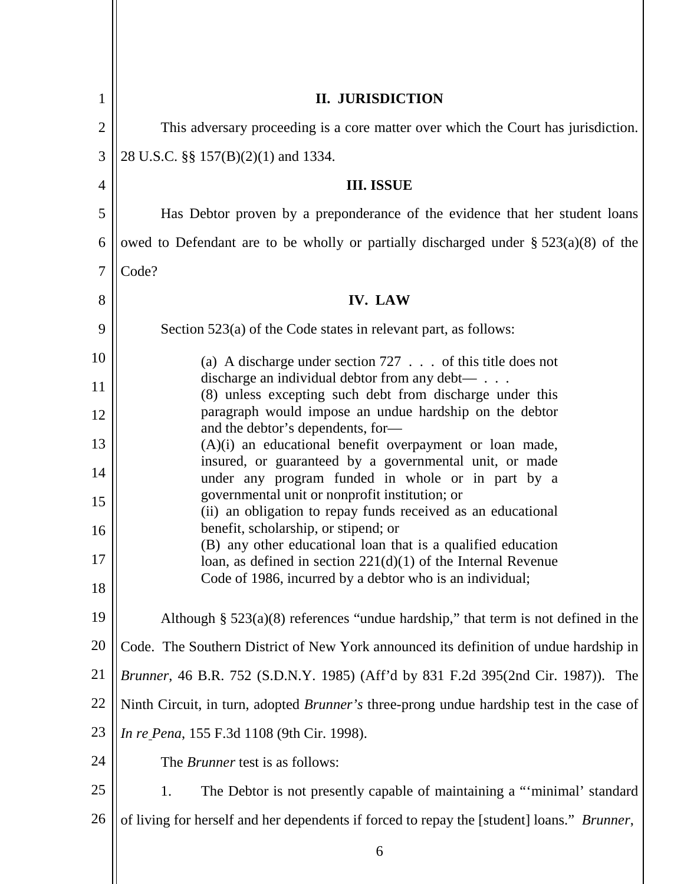| $\mathbf{1}$   | <b>II. JURISDICTION</b>                                                                                           |
|----------------|-------------------------------------------------------------------------------------------------------------------|
| $\overline{2}$ | This adversary proceeding is a core matter over which the Court has jurisdiction.                                 |
| 3              | 28 U.S.C. §§ 157(B)(2)(1) and 1334.                                                                               |
| 4              | <b>III. ISSUE</b>                                                                                                 |
| 5              | Has Debtor proven by a preponderance of the evidence that her student loans                                       |
| 6              | owed to Defendant are to be wholly or partially discharged under $\S 523(a)(8)$ of the                            |
| 7              | Code?                                                                                                             |
| 8              | <b>IV. LAW</b>                                                                                                    |
| 9              | Section 523(a) of the Code states in relevant part, as follows:                                                   |
| 10             | (a) A discharge under section $727 \ldots$ of this title does not                                                 |
| 11             | discharge an individual debtor from any debt—<br>(8) unless excepting such debt from discharge under this         |
| 12             | paragraph would impose an undue hardship on the debtor<br>and the debtor's dependents, for-                       |
| 13             | (A)(i) an educational benefit overpayment or loan made,<br>insured, or guaranteed by a governmental unit, or made |
| 14             | under any program funded in whole or in part by a                                                                 |
| 15             | governmental unit or nonprofit institution; or<br>(ii) an obligation to repay funds received as an educational    |
| 16             | benefit, scholarship, or stipend; or<br>(B) any other educational loan that is a qualified education              |
| 17             | loan, as defined in section $221(d)(1)$ of the Internal Revenue                                                   |
| 18             | Code of 1986, incurred by a debtor who is an individual;                                                          |
| 19             | Although $\S$ 523(a)(8) references "undue hardship," that term is not defined in the                              |
| 20             | Code. The Southern District of New York announced its definition of undue hardship in                             |
| 21             | Brunner, 46 B.R. 752 (S.D.N.Y. 1985) (Aff'd by 831 F.2d 395(2nd Cir. 1987)).<br>The                               |
| 22             | Ninth Circuit, in turn, adopted Brunner's three-prong undue hardship test in the case of                          |
| 23             | In re_Pena, 155 F.3d 1108 (9th Cir. 1998).                                                                        |
| 24             | The <i>Brunner</i> test is as follows:                                                                            |
| 25             | The Debtor is not presently capable of maintaining a ""minimal" standard<br>1.                                    |
| 26             | of living for herself and her dependents if forced to repay the [student] loans." Brunner,                        |
|                | 6                                                                                                                 |
|                |                                                                                                                   |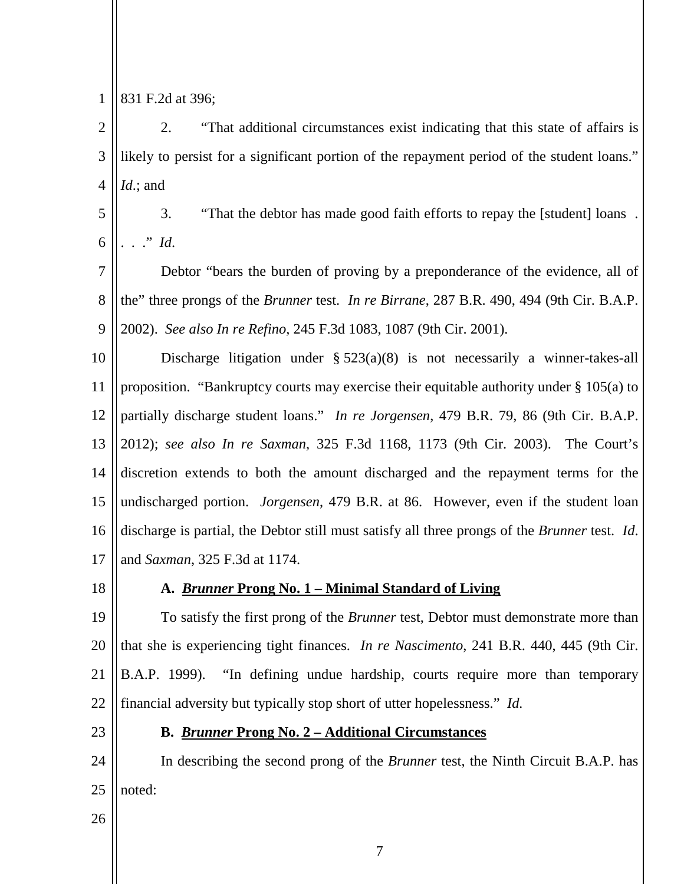- 1 831 F.2d at 396;
- 2 3 4 2. "That additional circumstances exist indicating that this state of affairs is likely to persist for a significant portion of the repayment period of the student loans." *Id*.; and
- 5 6 3. "That the debtor has made good faith efforts to repay the [student] loans . . . ." *Id*.

7 8 9 Debtor "bears the burden of proving by a preponderance of the evidence, all of the" three prongs of the *Brunner* test. *In re Birrane*, 287 B.R. 490, 494 (9th Cir. B.A.P. 2002). *See also In re Refino*, 245 F.3d 1083, 1087 (9th Cir. 2001).

10 11 12 13 14 15 16 17 Discharge litigation under  $\S 523(a)(8)$  is not necessarily a winner-takes-all proposition. "Bankruptcy courts may exercise their equitable authority under § 105(a) to partially discharge student loans." *In re Jorgensen*, 479 B.R. 79, 86 (9th Cir. B.A.P. 2012); *see also In re Saxman*, 325 F.3d 1168, 1173 (9th Cir. 2003). The Court's discretion extends to both the amount discharged and the repayment terms for the undischarged portion. *Jorgensen*, 479 B.R. at 86. However, even if the student loan discharge is partial, the Debtor still must satisfy all three prongs of the *Brunner* test. *Id*. and *Saxman*, 325 F.3d at 1174.

18

## **A.** *Brunner* **Prong No. 1 – Minimal Standard of Living**

19 20 21 22 To satisfy the first prong of the *Brunner* test, Debtor must demonstrate more than that she is experiencing tight finances. *In re Nascimento*, 241 B.R. 440, 445 (9th Cir. B.A.P. 1999). "In defining undue hardship, courts require more than temporary financial adversity but typically stop short of utter hopelessness." *Id.*

23

#### **B.** *Brunner* **Prong No. 2 – Additional Circumstances**

24 25 In describing the second prong of the *Brunner* test, the Ninth Circuit B.A.P. has noted: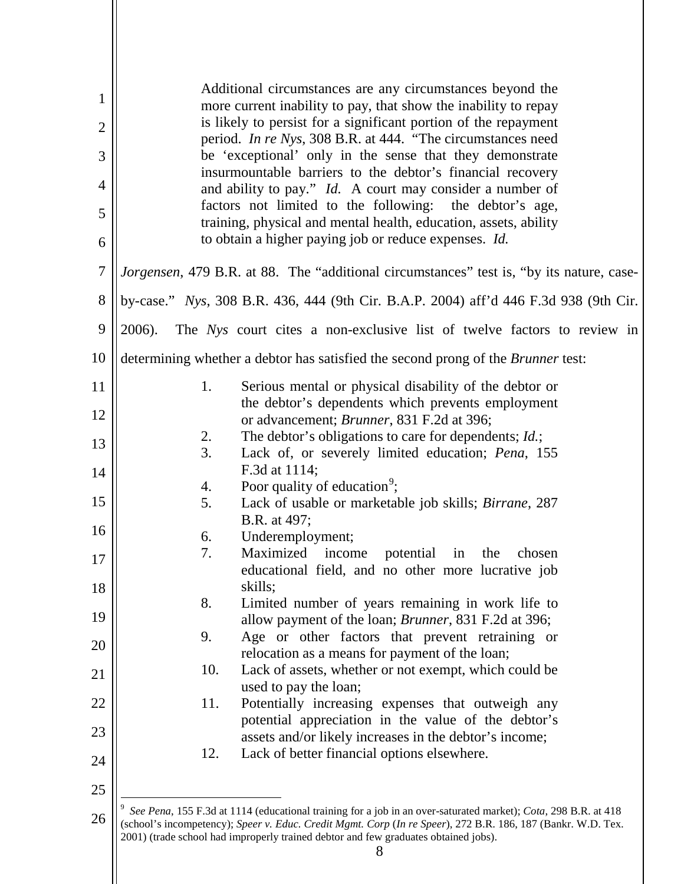| $\mathbf{1}$<br>$\overline{2}$ | Additional circumstances are any circumstances beyond the<br>more current inability to pay, that show the inability to repay<br>is likely to persist for a significant portion of the repayment |
|--------------------------------|-------------------------------------------------------------------------------------------------------------------------------------------------------------------------------------------------|
| 3                              | period. <i>In re Nys</i> , 308 B.R. at 444. "The circumstances need<br>be 'exceptional' only in the sense that they demonstrate                                                                 |
| 4                              | insurmountable barriers to the debtor's financial recovery                                                                                                                                      |
| 5                              | and ability to pay." <i>Id.</i> A court may consider a number of<br>factors not limited to the following: the debtor's age,                                                                     |
|                                | training, physical and mental health, education, assets, ability                                                                                                                                |
| 6                              | to obtain a higher paying job or reduce expenses. Id.                                                                                                                                           |
| $\tau$                         | Jorgensen, 479 B.R. at 88. The "additional circumstances" test is, "by its nature, case-                                                                                                        |
| 8                              | by-case." Nys, 308 B.R. 436, 444 (9th Cir. B.A.P. 2004) aff'd 446 F.3d 938 (9th Cir.                                                                                                            |
| 9                              | 2006).<br>The Nys court cites a non-exclusive list of twelve factors to review in                                                                                                               |
| 10                             | determining whether a debtor has satisfied the second prong of the <i>Brunner</i> test:                                                                                                         |
| 11                             | 1.<br>Serious mental or physical disability of the debtor or                                                                                                                                    |
| 12                             | the debtor's dependents which prevents employment<br>or advancement; Brunner, 831 F.2d at 396;                                                                                                  |
|                                | The debtor's obligations to care for dependents; <i>Id.</i> ;<br>2.                                                                                                                             |
| 13                             | 3.<br>Lack of, or severely limited education; Pena, 155                                                                                                                                         |
| 14                             | F.3d at 1114;                                                                                                                                                                                   |
|                                | Poor quality of education <sup>9</sup> ;<br>4.                                                                                                                                                  |
| 15                             | 5.<br>Lack of usable or marketable job skills; Birrane, 287<br>B.R. at 497;                                                                                                                     |
| 16                             | Underemployment;<br>6.                                                                                                                                                                          |
| 17                             | 7.<br>Maximized income potential<br>in<br>the<br>chosen                                                                                                                                         |
| 18                             | educational field, and no other more lucrative job<br>skills;                                                                                                                                   |
|                                | 8.<br>Limited number of years remaining in work life to                                                                                                                                         |
| 19                             | allow payment of the loan; <i>Brunner</i> , 831 F.2d at 396;                                                                                                                                    |
|                                | 9.<br>Age or other factors that prevent retraining or                                                                                                                                           |
| 20                             | relocation as a means for payment of the loan;                                                                                                                                                  |
| 21                             | Lack of assets, whether or not exempt, which could be<br>10.                                                                                                                                    |
|                                | used to pay the loan;                                                                                                                                                                           |
| 22                             | 11.<br>Potentially increasing expenses that outweigh any                                                                                                                                        |
| 23                             | potential appreciation in the value of the debtor's<br>assets and/or likely increases in the debtor's income;                                                                                   |
|                                | Lack of better financial options elsewhere.<br>12.                                                                                                                                              |
| 24                             |                                                                                                                                                                                                 |
| 25                             |                                                                                                                                                                                                 |
|                                | See Pena, 155 F.3d at 1114 (educational training for a job in an over-saturated market); Cota, 298 B.R. at 418                                                                                  |
| 26                             | (school's incompetency); Speer v. Educ. Credit Mgmt. Corp (In re Speer), 272 B.R. 186, 187 (Bankr. W.D. Tex.                                                                                    |

8

2001) (trade school had improperly trained debtor and few graduates obtained jobs).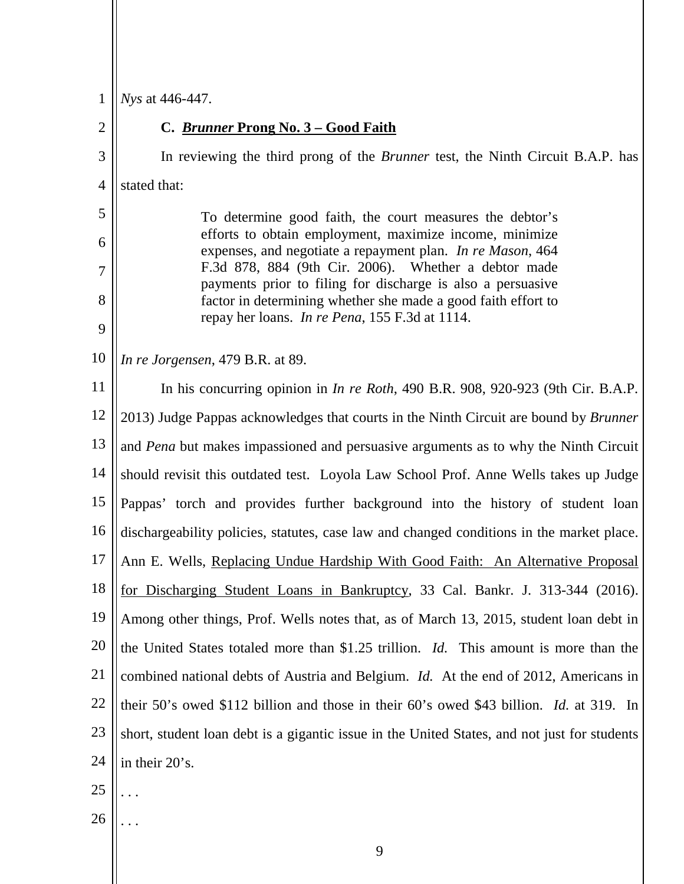1 *Nys* at 446-447.

| $\overline{2}$ | C. Brunner Prong No. 3 - Good Faith                                                                                   |
|----------------|-----------------------------------------------------------------------------------------------------------------------|
| 3              | In reviewing the third prong of the <i>Brunner</i> test, the Ninth Circuit B.A.P. has                                 |
| $\overline{4}$ | stated that:                                                                                                          |
| 5              | To determine good faith, the court measures the debtor's                                                              |
| 6              | efforts to obtain employment, maximize income, minimize<br>expenses, and negotiate a repayment plan. In re Mason, 464 |
| 7              | F.3d 878, 884 (9th Cir. 2006). Whether a debtor made<br>payments prior to filing for discharge is also a persuasive   |
| 8              | factor in determining whether she made a good faith effort to<br>repay her loans. In re Pena, 155 F.3d at 1114.       |
| 9              |                                                                                                                       |
| 10             | In re Jorgensen, 479 B.R. at 89.                                                                                      |
| 11             | In his concurring opinion in <i>In re Roth</i> , 490 B.R. 908, 920-923 (9th Cir. B.A.P.                               |
| 12             | 2013) Judge Pappas acknowledges that courts in the Ninth Circuit are bound by Brunner                                 |
| 13             | and Pena but makes impassioned and persuasive arguments as to why the Ninth Circuit                                   |
| 14             | should revisit this outdated test. Loyola Law School Prof. Anne Wells takes up Judge                                  |
| 15             | Pappas' torch and provides further background into the history of student loan                                        |
| 16             | dischargeability policies, statutes, case law and changed conditions in the market place.                             |
| 17             | Ann E. Wells, Replacing Undue Hardship With Good Faith: An Alternative Proposal                                       |
| 18             | for Discharging Student Loans in Bankruptcy, 33 Cal. Bankr. J. 313-344 (2016).                                        |
| 19             | Among other things, Prof. Wells notes that, as of March 13, 2015, student loan debt in                                |
| 20             | the United States totaled more than \$1.25 trillion. <i>Id</i> . This amount is more than the                         |
| 21             | combined national debts of Austria and Belgium. Id. At the end of 2012, Americans in                                  |
| 22             | their 50's owed \$112 billion and those in their 60's owed \$43 billion. <i>Id.</i> at 319. In                        |
| 23             | short, student loan debt is a gigantic issue in the United States, and not just for students                          |
| 24             | in their 20's.                                                                                                        |
| 25             |                                                                                                                       |

 $26$ 

. . .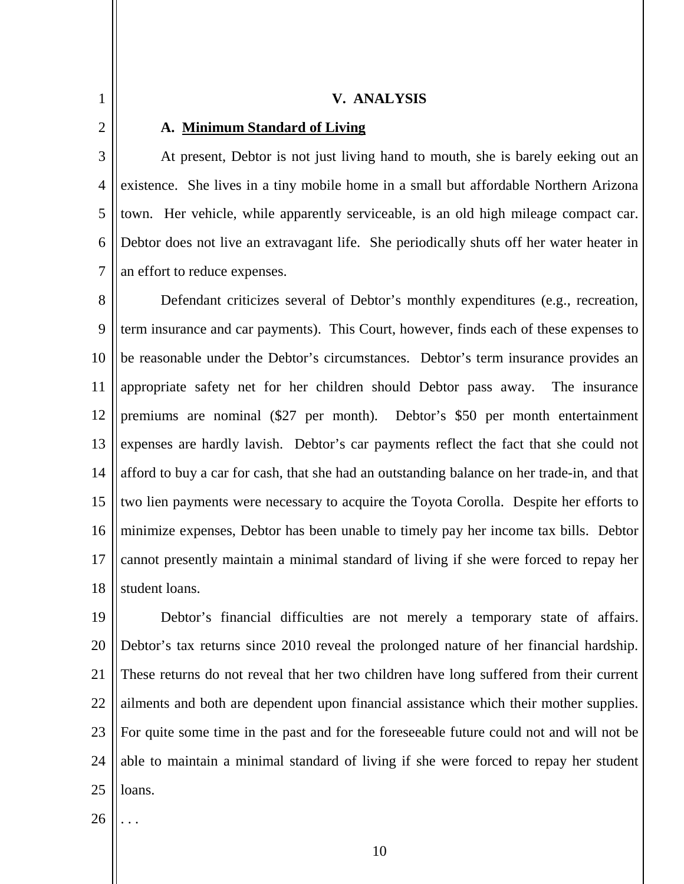1 2

#### **V. ANALYSIS**

#### **A. Minimum Standard of Living**

3 4 5 6 7 At present, Debtor is not just living hand to mouth, she is barely eeking out an existence. She lives in a tiny mobile home in a small but affordable Northern Arizona town. Her vehicle, while apparently serviceable, is an old high mileage compact car. Debtor does not live an extravagant life. She periodically shuts off her water heater in an effort to reduce expenses.

8 9 10 11 12 13 14 15 16 17 18 Defendant criticizes several of Debtor's monthly expenditures (e.g., recreation, term insurance and car payments). This Court, however, finds each of these expenses to be reasonable under the Debtor's circumstances. Debtor's term insurance provides an appropriate safety net for her children should Debtor pass away. The insurance premiums are nominal (\$27 per month). Debtor's \$50 per month entertainment expenses are hardly lavish. Debtor's car payments reflect the fact that she could not afford to buy a car for cash, that she had an outstanding balance on her trade-in, and that two lien payments were necessary to acquire the Toyota Corolla. Despite her efforts to minimize expenses, Debtor has been unable to timely pay her income tax bills. Debtor cannot presently maintain a minimal standard of living if she were forced to repay her student loans.

19 20 21 22 23 24 25 Debtor's financial difficulties are not merely a temporary state of affairs. Debtor's tax returns since 2010 reveal the prolonged nature of her financial hardship. These returns do not reveal that her two children have long suffered from their current ailments and both are dependent upon financial assistance which their mother supplies. For quite some time in the past and for the foreseeable future could not and will not be able to maintain a minimal standard of living if she were forced to repay her student loans.

26

. . .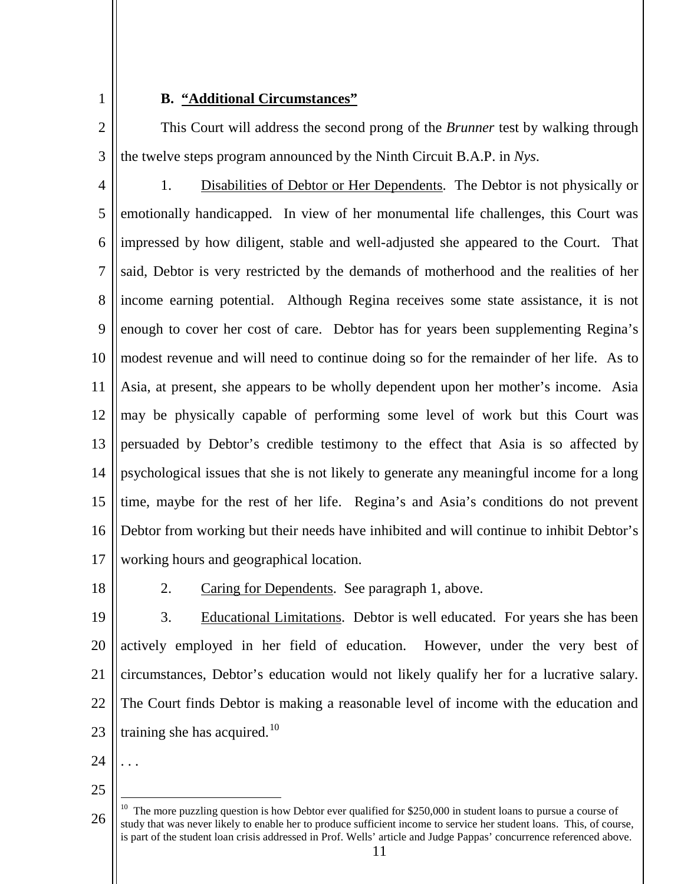1

### **B. "Additional Circumstances"**

2 3 This Court will address the second prong of the *Brunner* test by walking through the twelve steps program announced by the Ninth Circuit B.A.P. in *Nys*.

4 5 6 7 8 9 10 11 12 13 14 15 16 17 1. Disabilities of Debtor or Her Dependents. The Debtor is not physically or emotionally handicapped. In view of her monumental life challenges, this Court was impressed by how diligent, stable and well-adjusted she appeared to the Court. That said, Debtor is very restricted by the demands of motherhood and the realities of her income earning potential. Although Regina receives some state assistance, it is not enough to cover her cost of care. Debtor has for years been supplementing Regina's modest revenue and will need to continue doing so for the remainder of her life. As to Asia, at present, she appears to be wholly dependent upon her mother's income. Asia may be physically capable of performing some level of work but this Court was persuaded by Debtor's credible testimony to the effect that Asia is so affected by psychological issues that she is not likely to generate any meaningful income for a long time, maybe for the rest of her life. Regina's and Asia's conditions do not prevent Debtor from working but their needs have inhibited and will continue to inhibit Debtor's working hours and geographical location.

18

2. Caring for Dependents. See paragraph 1, above.

19 20 21 22 23 3. Educational Limitations. Debtor is well educated. For years she has been actively employed in her field of education. However, under the very best of circumstances, Debtor's education would not likely qualify her for a lucrative salary. The Court finds Debtor is making a reasonable level of income with the education and training she has acquired.<sup>10</sup>

24 . . .

 $\overline{a}$ 

<sup>26</sup>  $10$  The more puzzling question is how Debtor ever qualified for \$250,000 in student loans to pursue a course of study that was never likely to enable her to produce sufficient income to service her student loans. This, of course, is part of the student loan crisis addressed in Prof. Wells' article and Judge Pappas' concurrence referenced above.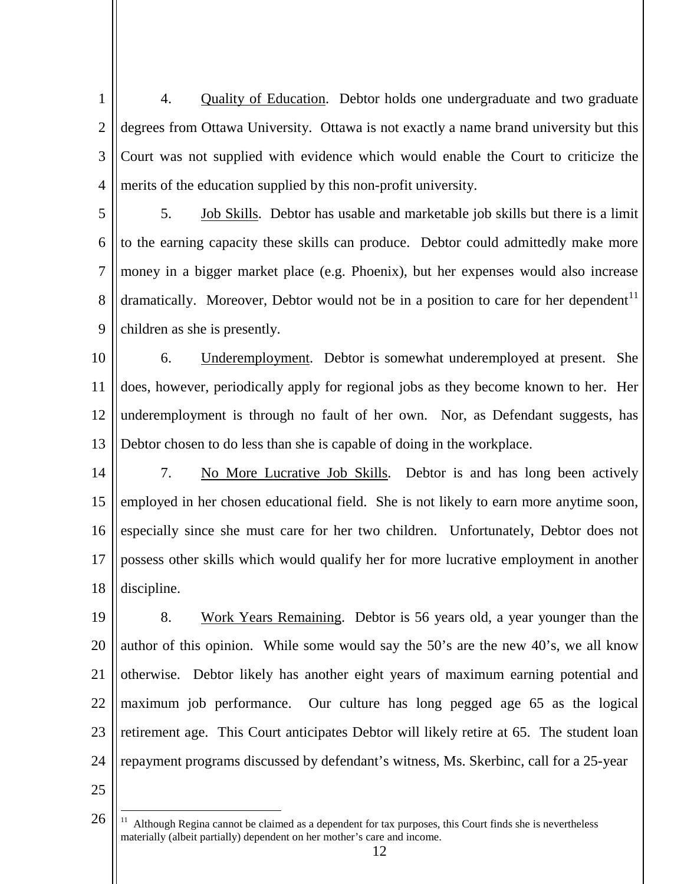1 2 3 4 4. Quality of Education. Debtor holds one undergraduate and two graduate degrees from Ottawa University. Ottawa is not exactly a name brand university but this Court was not supplied with evidence which would enable the Court to criticize the merits of the education supplied by this non-profit university.

5 6 7 8 9 5. Job Skills. Debtor has usable and marketable job skills but there is a limit to the earning capacity these skills can produce. Debtor could admittedly make more money in a bigger market place (e.g. Phoenix), but her expenses would also increase dramatically. Moreover, Debtor would not be in a position to care for her dependent<sup>11</sup> children as she is presently.

10 11 12 13 6. Underemployment. Debtor is somewhat underemployed at present. She does, however, periodically apply for regional jobs as they become known to her. Her underemployment is through no fault of her own. Nor, as Defendant suggests, has Debtor chosen to do less than she is capable of doing in the workplace.

14 15 16 17 18 7. No More Lucrative Job Skills. Debtor is and has long been actively employed in her chosen educational field. She is not likely to earn more anytime soon, especially since she must care for her two children. Unfortunately, Debtor does not possess other skills which would qualify her for more lucrative employment in another discipline.

19 20 21 22 23 24 8. Work Years Remaining. Debtor is 56 years old, a year younger than the author of this opinion. While some would say the 50's are the new 40's, we all know otherwise. Debtor likely has another eight years of maximum earning potential and maximum job performance. Our culture has long pegged age 65 as the logical retirement age. This Court anticipates Debtor will likely retire at 65. The student loan repayment programs discussed by defendant's witness, Ms. Skerbinc, call for a 25-year

25

<sup>26</sup> <sup>11</sup> Although Regina cannot be claimed as a dependent for tax purposes, this Court finds she is nevertheless materially (albeit partially) dependent on her mother's care and income.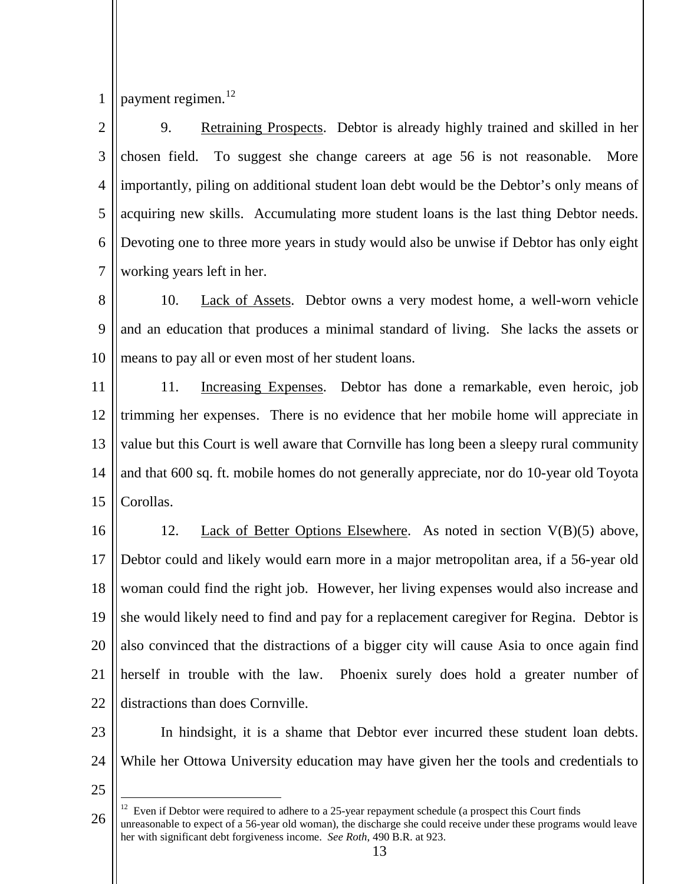1 payment regimen.<sup>12</sup>

2 3 4 5 6 7 9. Retraining Prospects. Debtor is already highly trained and skilled in her chosen field. To suggest she change careers at age 56 is not reasonable. More importantly, piling on additional student loan debt would be the Debtor's only means of acquiring new skills. Accumulating more student loans is the last thing Debtor needs. Devoting one to three more years in study would also be unwise if Debtor has only eight working years left in her.

8 9 10 10. Lack of Assets. Debtor owns a very modest home, a well-worn vehicle and an education that produces a minimal standard of living. She lacks the assets or means to pay all or even most of her student loans.

11 12 13 14 15 11. Increasing Expenses. Debtor has done a remarkable, even heroic, job trimming her expenses. There is no evidence that her mobile home will appreciate in value but this Court is well aware that Cornville has long been a sleepy rural community and that 600 sq. ft. mobile homes do not generally appreciate, nor do 10-year old Toyota Corollas.

16 17 18 19 20 21 22 12. Lack of Better Options Elsewhere. As noted in section V(B)(5) above, Debtor could and likely would earn more in a major metropolitan area, if a 56-year old woman could find the right job. However, her living expenses would also increase and she would likely need to find and pay for a replacement caregiver for Regina. Debtor is also convinced that the distractions of a bigger city will cause Asia to once again find herself in trouble with the law. Phoenix surely does hold a greater number of distractions than does Cornville.

23 24 In hindsight, it is a shame that Debtor ever incurred these student loan debts. While her Ottowa University education may have given her the tools and credentials to

25

<sup>26</sup>  $12$  Even if Debtor were required to adhere to a 25-year repayment schedule (a prospect this Court finds unreasonable to expect of a 56-year old woman), the discharge she could receive under these programs would leave her with significant debt forgiveness income. *See Roth*, 490 B.R. at 923.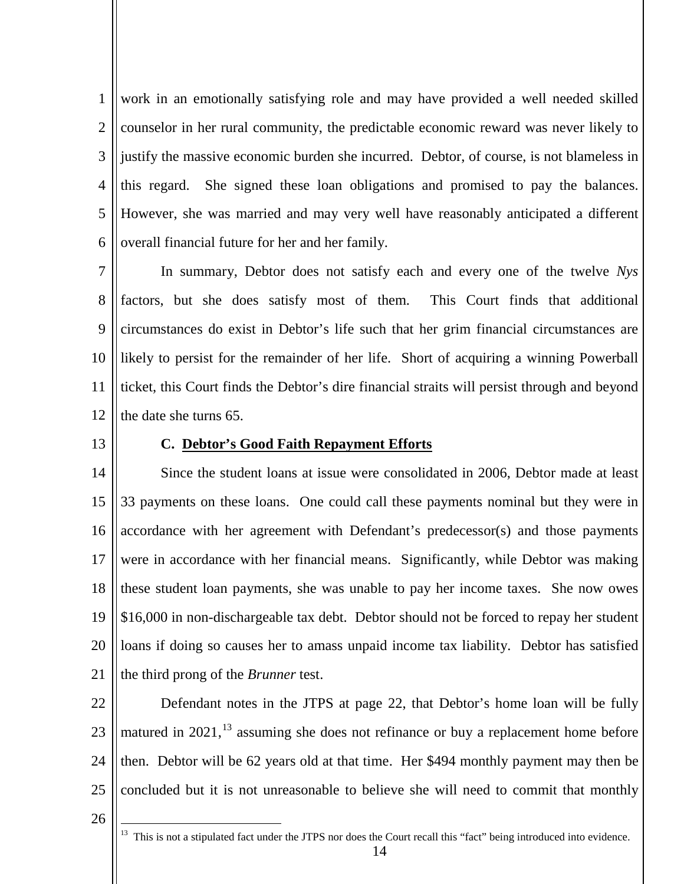1 2 3 4 5 6 work in an emotionally satisfying role and may have provided a well needed skilled counselor in her rural community, the predictable economic reward was never likely to justify the massive economic burden she incurred. Debtor, of course, is not blameless in this regard. She signed these loan obligations and promised to pay the balances. However, she was married and may very well have reasonably anticipated a different overall financial future for her and her family.

7 8 9 10 11 12 In summary, Debtor does not satisfy each and every one of the twelve *Nys* factors, but she does satisfy most of them. This Court finds that additional circumstances do exist in Debtor's life such that her grim financial circumstances are likely to persist for the remainder of her life. Short of acquiring a winning Powerball ticket, this Court finds the Debtor's dire financial straits will persist through and beyond the date she turns 65.

13

### **C. Debtor's Good Faith Repayment Efforts**

14 15 16 17 18 19 20 21 Since the student loans at issue were consolidated in 2006, Debtor made at least 33 payments on these loans. One could call these payments nominal but they were in accordance with her agreement with Defendant's predecessor(s) and those payments were in accordance with her financial means. Significantly, while Debtor was making these student loan payments, she was unable to pay her income taxes. She now owes \$16,000 in non-dischargeable tax debt. Debtor should not be forced to repay her student loans if doing so causes her to amass unpaid income tax liability. Debtor has satisfied the third prong of the *Brunner* test.

22 23 24 25 Defendant notes in the JTPS at page 22, that Debtor's home loan will be fully matured in  $2021$ ,  $^{13}$  assuming she does not refinance or buy a replacement home before then. Debtor will be 62 years old at that time. Her \$494 monthly payment may then be concluded but it is not unreasonable to believe she will need to commit that monthly

26